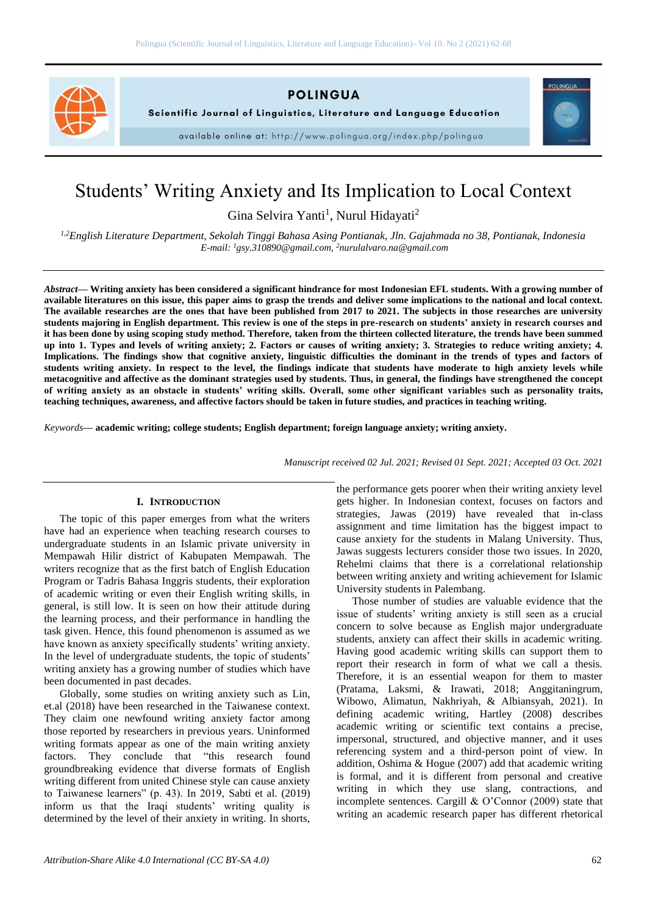

**POLINGUA** 

Scientific Journal of Linguistics, Literature and Language Education

available online at: http://www.polingua.org/index.php/polingua



# Students' Writing Anxiety and Its Implication to Local Context

Gina Selvira Yanti<sup>1</sup>, Nurul Hidayati<sup>2</sup>

*1,2English Literature Department, Sekolah Tinggi Bahasa Asing Pontianak, Jln. Gajahmada no 38, Pontianak, Indonesia E-mail: <sup>1</sup>[gsy.310890@gmail.com,](mailto:gsy.310890@gmail.com) <sup>2</sup>[nurulalvaro.na@gmail.com](mailto:nurulalvaro.na@gmail.com)*

*Abstract***— Writing anxiety has been considered a significant hindrance for most Indonesian EFL students. With a growing number of available literatures on this issue, this paper aims to grasp the trends and deliver some implications to the national and local context. The available researches are the ones that have been published from 2017 to 2021. The subjects in those researches are university students majoring in English department. This review is one of the steps in pre-research on students' anxiety in research courses and it has been done by using scoping study method. Therefore, taken from the thirteen collected literature, the trends have been summed up into 1. Types and levels of writing anxiety; 2. Factors or causes of writing anxiety; 3. Strategies to reduce writing anxiety; 4. Implications. The findings show that cognitive anxiety, linguistic difficulties the dominant in the trends of types and factors of students writing anxiety. In respect to the level, the findings indicate that students have moderate to high anxiety levels while metacognitive and affective as the dominant strategies used by students. Thus, in general, the findings have strengthened the concept of writing anxiety as an obstacle in students' writing skills. Overall, some other significant variables such as personality traits, teaching techniques, awareness, and affective factors should be taken in future studies, and practices in teaching writing.** 

*Keywords***— academic writing; college students; English department; foreign language anxiety; writing anxiety.**

*Manuscript received 02 Jul. 2021; Revised 01 Sept. 2021; Accepted 03 Oct. 2021*

#### **I. INTRODUCTION**

The topic of this paper emerges from what the writers have had an experience when teaching research courses to undergraduate students in an Islamic private university in Mempawah Hilir district of Kabupaten Mempawah. The writers recognize that as the first batch of English Education Program or Tadris Bahasa Inggris students, their exploration of academic writing or even their English writing skills, in general, is still low. It is seen on how their attitude during the learning process, and their performance in handling the task given. Hence, this found phenomenon is assumed as we have known as anxiety specifically students' writing anxiety. In the level of undergraduate students, the topic of students' writing anxiety has a growing number of studies which have been documented in past decades.

Globally, some studies on writing anxiety such as Lin, et.al (2018) have been researched in the Taiwanese context. They claim one newfound writing anxiety factor among those reported by researchers in previous years. Uninformed writing formats appear as one of the main writing anxiety factors. They conclude that "this research found groundbreaking evidence that diverse formats of English writing different from united Chinese style can cause anxiety to Taiwanese learners" (p. 43). In 2019, Sabti et al. (2019) inform us that the Iraqi students' writing quality is determined by the level of their anxiety in writing. In shorts,

the performance gets poorer when their writing anxiety level gets higher. In Indonesian context, focuses on factors and strategies, Jawas (2019) have revealed that in-class assignment and time limitation has the biggest impact to cause anxiety for the students in Malang University. Thus, Jawas suggests lecturers consider those two issues. In 2020, Rehelmi claims that there is a correlational relationship between writing anxiety and writing achievement for Islamic University students in Palembang.

Those number of studies are valuable evidence that the issue of students' writing anxiety is still seen as a crucial concern to solve because as English major undergraduate students, anxiety can affect their skills in academic writing. Having good academic writing skills can support them to report their research in form of what we call a thesis. Therefore, it is an essential weapon for them to master (Pratama, Laksmi, & Irawati, 2018; Anggitaningrum, Wibowo, Alimatun, Nakhriyah, & Albiansyah, 2021). In defining academic writing, Hartley (2008) describes academic writing or scientific text contains a precise, impersonal, structured, and objective manner, and it uses referencing system and a third-person point of view. In addition, Oshima & Hogue (2007) add that academic writing is formal, and it is different from personal and creative writing in which they use slang, contractions, and incomplete sentences. Cargill & O'Connor (2009) state that writing an academic research paper has different rhetorical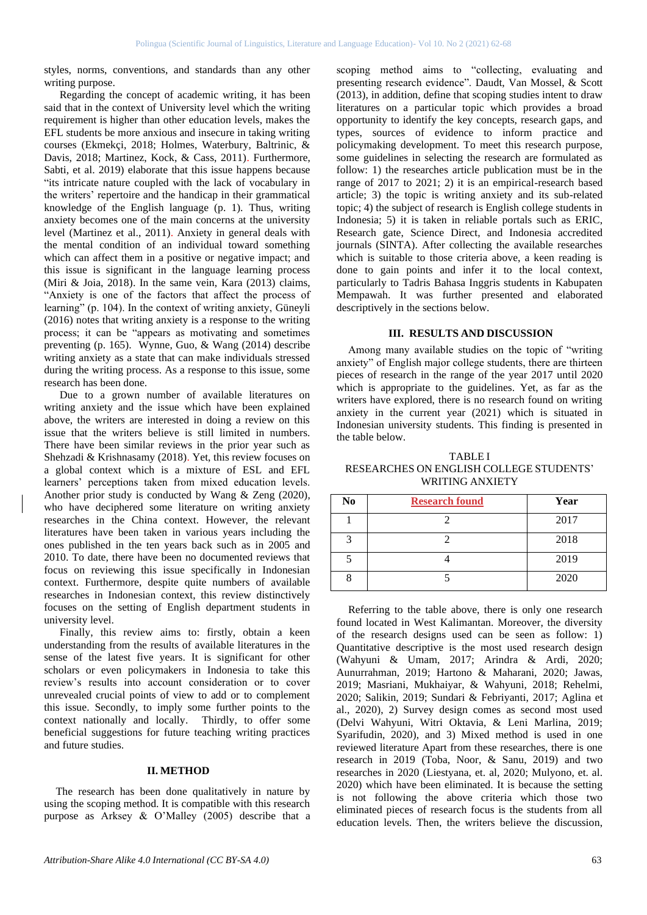styles, norms, conventions, and standards than any other writing purpose.

Regarding the concept of academic writing, it has been said that in the context of University level which the writing requirement is higher than other education levels, makes the EFL students be more anxious and insecure in taking writing courses (Ekmekçi, 2018; Holmes, Waterbury, Baltrinic, & Davis, 2018; Martinez, Kock, & Cass, 2011). Furthermore, Sabti, et al. 2019) elaborate that this issue happens because "its intricate nature coupled with the lack of vocabulary in the writers' repertoire and the handicap in their grammatical knowledge of the English language (p. 1). Thus, writing anxiety becomes one of the main concerns at the university level (Martinez et al., 2011). Anxiety in general deals with the mental condition of an individual toward something which can affect them in a positive or negative impact; and this issue is significant in the language learning process (Miri & Joia, 2018). In the same vein, Kara (2013) claims, "Anxiety is one of the factors that affect the process of learning" (p. 104). In the context of writing anxiety, Güneyli (2016) notes that writing anxiety is a response to the writing process; it can be "appears as motivating and sometimes preventing (p. 165). Wynne, Guo, & Wang (2014) describe writing anxiety as a state that can make individuals stressed during the writing process. As a response to this issue, some research has been done.

Due to a grown number of available literatures on writing anxiety and the issue which have been explained above, the writers are interested in doing a review on this issue that the writers believe is still limited in numbers. There have been similar reviews in the prior year such as Shehzadi & Krishnasamy (2018). Yet, this review focuses on a global context which is a mixture of ESL and EFL learners' perceptions taken from mixed education levels. Another prior study is conducted by Wang & Zeng (2020), who have deciphered some literature on writing anxiety researches in the China context. However, the relevant literatures have been taken in various years including the ones published in the ten years back such as in 2005 and 2010. To date, there have been no documented reviews that focus on reviewing this issue specifically in Indonesian context. Furthermore, despite quite numbers of available researches in Indonesian context, this review distinctively focuses on the setting of English department students in university level.

Finally, this review aims to: firstly, obtain a keen understanding from the results of available literatures in the sense of the latest five years. It is significant for other scholars or even policymakers in Indonesia to take this review's results into account consideration or to cover unrevealed crucial points of view to add or to complement this issue. Secondly, to imply some further points to the context nationally and locally. Thirdly, to offer some beneficial suggestions for future teaching writing practices and future studies.

#### **II. METHOD**

The research has been done qualitatively in nature by using the scoping method. It is compatible with this research purpose as Arksey & O'Malley (2005) describe that a scoping method aims to "collecting, evaluating and presenting research evidence". Daudt, Van Mossel, & Scott (2013), in addition, define that scoping studies intent to draw literatures on a particular topic which provides a broad opportunity to identify the key concepts, research gaps, and types, sources of evidence to inform practice and policymaking development. To meet this research purpose, some guidelines in selecting the research are formulated as follow: 1) the researches article publication must be in the range of 2017 to 2021; 2) it is an empirical-research based article; 3) the topic is writing anxiety and its sub-related topic; 4) the subject of research is English college students in Indonesia; 5) it is taken in reliable portals such as ERIC, Research gate, Science Direct, and Indonesia accredited journals (SINTA). After collecting the available researches which is suitable to those criteria above, a keen reading is done to gain points and infer it to the local context, particularly to Tadris Bahasa Inggris students in Kabupaten Mempawah. It was further presented and elaborated descriptively in the sections below.

#### **III. RESULTS AND DISCUSSION**

Among many available studies on the topic of "writing anxiety" of English major college students, there are thirteen pieces of research in the range of the year 2017 until 2020 which is appropriate to the guidelines. Yet, as far as the writers have explored, there is no research found on writing anxiety in the current year (2021) which is situated in Indonesian university students. This finding is presented in the table below.

TABLE I RESEARCHES ON ENGLISH COLLEGE STUDENTS' WRITING ANXIETY

| No       | <b>Research found</b> | Year |
|----------|-----------------------|------|
|          |                       | 2017 |
| 3        |                       | 2018 |
|          |                       | 2019 |
| $\Omega$ |                       | 2020 |

Referring to the table above, there is only one research found located in West Kalimantan. Moreover, the diversity of the research designs used can be seen as follow: 1) Quantitative descriptive is the most used research design (Wahyuni & Umam, 2017; Arindra & Ardi, 2020; Aunurrahman, 2019; Hartono & Maharani, 2020; Jawas, 2019; Masriani, Mukhaiyar, & Wahyuni, 2018; Rehelmi, 2020; Salikin, 2019; Sundari & Febriyanti, 2017; Aglina et al., 2020), 2) Survey design comes as second most used (Delvi Wahyuni, Witri Oktavia, & Leni Marlina, 2019; Syarifudin, 2020), and 3) Mixed method is used in one reviewed literature Apart from these researches, there is one research in 2019 (Toba, Noor, & Sanu, 2019) and two researches in 2020 (Liestyana, et. al, 2020; Mulyono, et. al. 2020) which have been eliminated. It is because the setting is not following the above criteria which those two eliminated pieces of research focus is the students from all education levels. Then, the writers believe the discussion,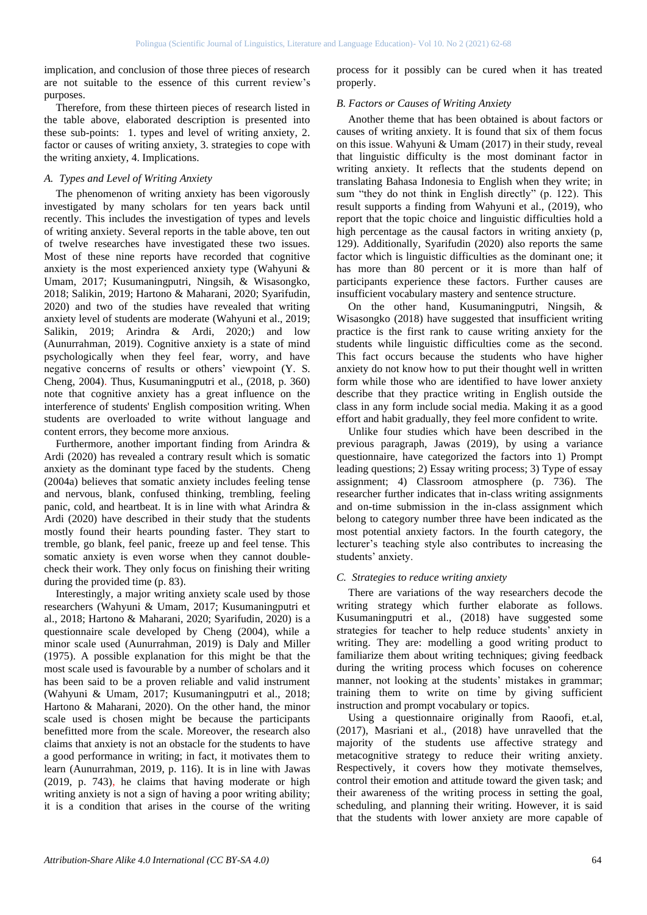implication, and conclusion of those three pieces of research are not suitable to the essence of this current review's purposes.

Therefore, from these thirteen pieces of research listed in the table above, elaborated description is presented into these sub-points: 1. types and level of writing anxiety, 2. factor or causes of writing anxiety, 3. strategies to cope with the writing anxiety, 4. Implications.

## *A. Types and Level of Writing Anxiety*

The phenomenon of writing anxiety has been vigorously investigated by many scholars for ten years back until recently. This includes the investigation of types and levels of writing anxiety. Several reports in the table above, ten out of twelve researches have investigated these two issues. Most of these nine reports have recorded that cognitive anxiety is the most experienced anxiety type (Wahyuni & Umam, 2017; Kusumaningputri, Ningsih, & Wisasongko, 2018; Salikin, 2019; Hartono & Maharani, 2020; Syarifudin, 2020) and two of the studies have revealed that writing anxiety level of students are moderate (Wahyuni et al., 2019; Salikin, 2019; Arindra & Ardi, 2020;) and low (Aunurrahman, 2019). Cognitive anxiety is a state of mind psychologically when they feel fear, worry, and have negative concerns of results or others' viewpoint (Y. S. Cheng, 2004). Thus, Kusumaningputri et al., (2018, p. 360) note that cognitive anxiety has a great influence on the interference of students' English composition writing. When students are overloaded to write without language and content errors, they become more anxious.

Furthermore, another important finding from Arindra & Ardi (2020) has revealed a contrary result which is somatic anxiety as the dominant type faced by the students. Cheng (2004a) believes that somatic anxiety includes feeling tense and nervous, blank, confused thinking, trembling, feeling panic, cold, and heartbeat. It is in line with what Arindra & Ardi (2020) have described in their study that the students mostly found their hearts pounding faster. They start to tremble, go blank, feel panic, freeze up and feel tense. This somatic anxiety is even worse when they cannot doublecheck their work. They only focus on finishing their writing during the provided time (p. 83).

Interestingly, a major writing anxiety scale used by those researchers (Wahyuni & Umam, 2017; Kusumaningputri et al., 2018; Hartono & Maharani, 2020; Syarifudin, 2020) is a questionnaire scale developed by Cheng (2004), while a minor scale used (Aunurrahman, 2019) is Daly and Miller (1975). A possible explanation for this might be that the most scale used is favourable by a number of scholars and it has been said to be a proven reliable and valid instrument (Wahyuni & Umam, 2017; Kusumaningputri et al., 2018; Hartono & Maharani, 2020). On the other hand, the minor scale used is chosen might be because the participants benefitted more from the scale. Moreover, the research also claims that anxiety is not an obstacle for the students to have a good performance in writing; in fact, it motivates them to learn (Aunurrahman, 2019, p. 116). It is in line with Jawas (2019, p. 743), he claims that having moderate or high writing anxiety is not a sign of having a poor writing ability; it is a condition that arises in the course of the writing process for it possibly can be cured when it has treated properly.

## *B. Factors or Causes of Writing Anxiety*

Another theme that has been obtained is about factors or causes of writing anxiety. It is found that six of them focus on this issue. Wahyuni & Umam (2017) in their study, reveal that linguistic difficulty is the most dominant factor in writing anxiety. It reflects that the students depend on translating Bahasa Indonesia to English when they write; in sum "they do not think in English directly" (p. 122). This result supports a finding from Wahyuni et al., (2019), who report that the topic choice and linguistic difficulties hold a high percentage as the causal factors in writing anxiety (p, 129). Additionally, Syarifudin (2020) also reports the same factor which is linguistic difficulties as the dominant one; it has more than 80 percent or it is more than half of participants experience these factors. Further causes are insufficient vocabulary mastery and sentence structure.

On the other hand, Kusumaningputri, Ningsih, & Wisasongko (2018) have suggested that insufficient writing practice is the first rank to cause writing anxiety for the students while linguistic difficulties come as the second. This fact occurs because the students who have higher anxiety do not know how to put their thought well in written form while those who are identified to have lower anxiety describe that they practice writing in English outside the class in any form include social media. Making it as a good effort and habit gradually, they feel more confident to write.

Unlike four studies which have been described in the previous paragraph, Jawas (2019), by using a variance questionnaire, have categorized the factors into 1) Prompt leading questions; 2) Essay writing process; 3) Type of essay assignment; 4) Classroom atmosphere (p. 736). The researcher further indicates that in-class writing assignments and on-time submission in the in-class assignment which belong to category number three have been indicated as the most potential anxiety factors. In the fourth category, the lecturer's teaching style also contributes to increasing the students' anxiety.

## *C. Strategies to reduce writing anxiety*

There are variations of the way researchers decode the writing strategy which further elaborate as follows. Kusumaningputri et al., (2018) have suggested some strategies for teacher to help reduce students' anxiety in writing. They are: modelling a good writing product to familiarize them about writing techniques; giving feedback during the writing process which focuses on coherence manner, not looking at the students' mistakes in grammar; training them to write on time by giving sufficient instruction and prompt vocabulary or topics.

Using a questionnaire originally from Raoofi, et.al, (2017), Masriani et al., (2018) have unravelled that the majority of the students use affective strategy and metacognitive strategy to reduce their writing anxiety. Respectively, it covers how they motivate themselves, control their emotion and attitude toward the given task; and their awareness of the writing process in setting the goal, scheduling, and planning their writing. However, it is said that the students with lower anxiety are more capable of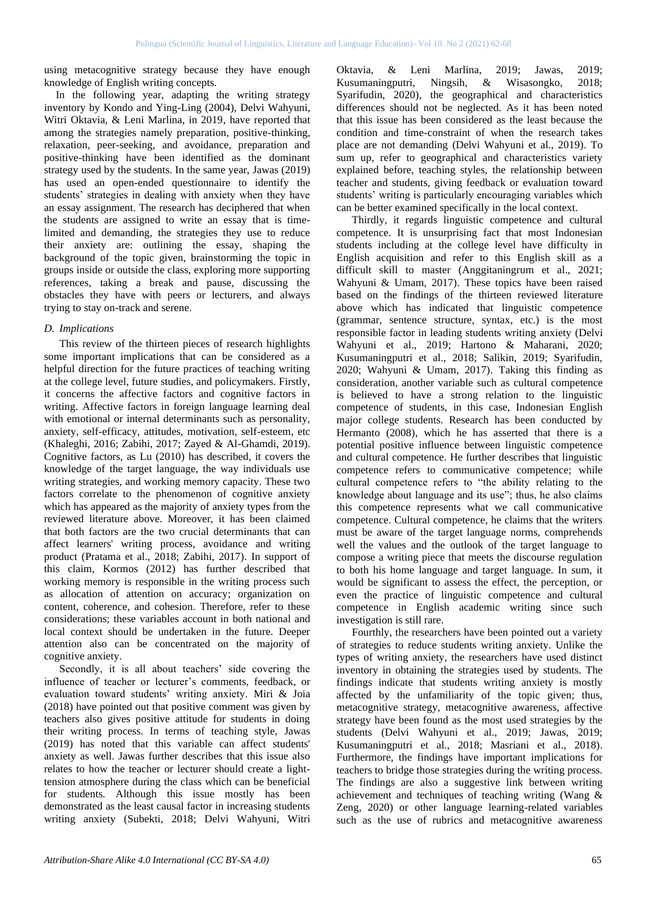using metacognitive strategy because they have enough knowledge of English writing concepts.

In the following year, adapting the writing strategy inventory by Kondo and Ying-Ling (2004), Delvi Wahyuni, Witri Oktavia, & Leni Marlina, in 2019, have reported that among the strategies namely preparation, positive-thinking, relaxation, peer-seeking, and avoidance, preparation and positive-thinking have been identified as the dominant strategy used by the students. In the same year, Jawas (2019) has used an open-ended questionnaire to identify the students' strategies in dealing with anxiety when they have an essay assignment. The research has deciphered that when the students are assigned to write an essay that is timelimited and demanding, the strategies they use to reduce their anxiety are: outlining the essay, shaping the background of the topic given, brainstorming the topic in groups inside or outside the class, exploring more supporting references, taking a break and pause, discussing the obstacles they have with peers or lecturers, and always trying to stay on-track and serene.

## *D. Implications*

This review of the thirteen pieces of research highlights some important implications that can be considered as a helpful direction for the future practices of teaching writing at the college level, future studies, and policymakers. Firstly, it concerns the affective factors and cognitive factors in writing. Affective factors in foreign language learning deal with emotional or internal determinants such as personality, anxiety, self-efficacy, attitudes, motivation, self-esteem, etc (Khaleghi, 2016; Zabihi, 2017; Zayed & Al-Ghamdi, 2019). Cognitive factors, as Lu (2010) has described, it covers the knowledge of the target language, the way individuals use writing strategies, and working memory capacity. These two factors correlate to the phenomenon of cognitive anxiety which has appeared as the majority of anxiety types from the reviewed literature above. Moreover, it has been claimed that both factors are the two crucial determinants that can affect learners' writing process, avoidance and writing product (Pratama et al., 2018; Zabihi, 2017). In support of this claim, Kormos (2012) has further described that working memory is responsible in the writing process such as allocation of attention on accuracy; organization on content, coherence, and cohesion. Therefore, refer to these considerations; these variables account in both national and local context should be undertaken in the future. Deeper attention also can be concentrated on the majority of cognitive anxiety.

Secondly, it is all about teachers' side covering the influence of teacher or lecturer's comments, feedback, or evaluation toward students' writing anxiety. Miri & Joia (2018) have pointed out that positive comment was given by teachers also gives positive attitude for students in doing their writing process. In terms of teaching style, Jawas (2019) has noted that this variable can affect students' anxiety as well. Jawas further describes that this issue also relates to how the teacher or lecturer should create a lighttension atmosphere during the class which can be beneficial for students. Although this issue mostly has been demonstrated as the least causal factor in increasing students writing anxiety (Subekti, 2018; Delvi Wahyuni, Witri

Oktavia, & Leni Marlina, 2019; Jawas, 2019; Kusumaningputri, Ningsih, & Wisasongko, 2018; Syarifudin, 2020), the geographical and characteristics differences should not be neglected. As it has been noted that this issue has been considered as the least because the condition and time-constraint of when the research takes place are not demanding (Delvi Wahyuni et al., 2019). To sum up, refer to geographical and characteristics variety explained before, teaching styles, the relationship between teacher and students, giving feedback or evaluation toward students' writing is particularly encouraging variables which can be better examined specifically in the local context.

Thirdly, it regards linguistic competence and cultural competence. It is unsurprising fact that most Indonesian students including at the college level have difficulty in English acquisition and refer to this English skill as a difficult skill to master (Anggitaningrum et al., 2021; Wahyuni & Umam, 2017). These topics have been raised based on the findings of the thirteen reviewed literature above which has indicated that linguistic competence (grammar, sentence structure, syntax, etc.) is the most responsible factor in leading students writing anxiety (Delvi Wahyuni et al., 2019; Hartono & Maharani, 2020; Kusumaningputri et al., 2018; Salikin, 2019; Syarifudin, 2020; Wahyuni & Umam, 2017). Taking this finding as consideration, another variable such as cultural competence is believed to have a strong relation to the linguistic competence of students, in this case, Indonesian English major college students. Research has been conducted by Hermanto (2008), which he has asserted that there is a potential positive influence between linguistic competence and cultural competence. He further describes that linguistic competence refers to communicative competence; while cultural competence refers to "the ability relating to the knowledge about language and its use"; thus, he also claims this competence represents what we call communicative competence. Cultural competence, he claims that the writers must be aware of the target language norms, comprehends well the values and the outlook of the target language to compose a writing piece that meets the discourse regulation to both his home language and target language. In sum, it would be significant to assess the effect, the perception, or even the practice of linguistic competence and cultural competence in English academic writing since such investigation is still rare.

Fourthly, the researchers have been pointed out a variety of strategies to reduce students writing anxiety. Unlike the types of writing anxiety, the researchers have used distinct inventory in obtaining the strategies used by students. The findings indicate that students writing anxiety is mostly affected by the unfamiliarity of the topic given; thus, metacognitive strategy, metacognitive awareness, affective strategy have been found as the most used strategies by the students (Delvi Wahyuni et al., 2019; Jawas, 2019; Kusumaningputri et al., 2018; Masriani et al., 2018). Furthermore, the findings have important implications for teachers to bridge those strategies during the writing process. The findings are also a suggestive link between writing achievement and techniques of teaching writing (Wang & Zeng, 2020) or other language learning-related variables such as the use of rubrics and metacognitive awareness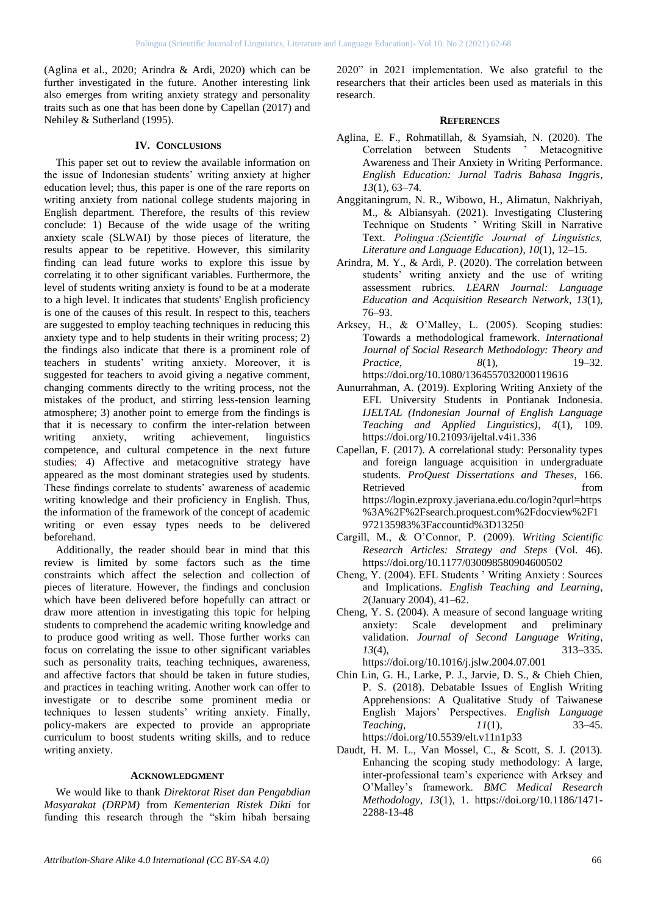(Aglina et al., 2020; Arindra & Ardi, 2020) which can be further investigated in the future. Another interesting link also emerges from writing anxiety strategy and personality traits such as one that has been done by Capellan (2017) and Nehiley & Sutherland (1995).

#### **IV. CONCLUSIONS**

This paper set out to review the available information on the issue of Indonesian students' writing anxiety at higher education level; thus, this paper is one of the rare reports on writing anxiety from national college students majoring in English department. Therefore, the results of this review conclude: 1) Because of the wide usage of the writing anxiety scale (SLWAI) by those pieces of literature, the results appear to be repetitive. However, this similarity finding can lead future works to explore this issue by correlating it to other significant variables. Furthermore, the level of students writing anxiety is found to be at a moderate to a high level. It indicates that students' English proficiency is one of the causes of this result. In respect to this, teachers are suggested to employ teaching techniques in reducing this anxiety type and to help students in their writing process; 2) the findings also indicate that there is a prominent role of teachers in students' writing anxiety. Moreover, it is suggested for teachers to avoid giving a negative comment, changing comments directly to the writing process, not the mistakes of the product, and stirring less-tension learning atmosphere; 3) another point to emerge from the findings is that it is necessary to confirm the inter-relation between writing anxiety, writing achievement, linguistics competence, and cultural competence in the next future studies; 4) Affective and metacognitive strategy have appeared as the most dominant strategies used by students. These findings correlate to students' awareness of academic writing knowledge and their proficiency in English. Thus, the information of the framework of the concept of academic writing or even essay types needs to be delivered beforehand.

Additionally, the reader should bear in mind that this review is limited by some factors such as the time constraints which affect the selection and collection of pieces of literature. However, the findings and conclusion which have been delivered before hopefully can attract or draw more attention in investigating this topic for helping students to comprehend the academic writing knowledge and to produce good writing as well. Those further works can focus on correlating the issue to other significant variables such as personality traits, teaching techniques, awareness, and affective factors that should be taken in future studies, and practices in teaching writing. Another work can offer to investigate or to describe some prominent media or techniques to lessen students' writing anxiety. Finally, policy-makers are expected to provide an appropriate curriculum to boost students writing skills, and to reduce writing anxiety.

#### **ACKNOWLEDGMENT**

We would like to thank *Direktorat Riset dan Pengabdian Masyarakat (DRPM)* from *Kementerian Ristek Dikti* for funding this research through the "skim hibah bersaing

2020" in 2021 implementation. We also grateful to the researchers that their articles been used as materials in this research.

#### **REFERENCES**

- Aglina, E. F., Rohmatillah, & Syamsiah, N. (2020). The Correlation between Students ' Metacognitive Awareness and Their Anxiety in Writing Performance. *English Education: Jurnal Tadris Bahasa Inggris*, *13*(1), 63–74.
- Anggitaningrum, N. R., Wibowo, H., Alimatun, Nakhriyah, M., & Albiansyah. (2021). Investigating Clustering Technique on Students ' Writing Skill in Narrative Text. *Polingua :(Scientific Journal of Linguistics, Literature and Language Education)*, *10*(1), 12–15.
- Arindra, M. Y., & Ardi, P. (2020). The correlation between students' writing anxiety and the use of writing assessment rubrics. *LEARN Journal: Language Education and Acquisition Research Network*, *13*(1), 76–93.
- Arksey, H., & O'Malley, L. (2005). Scoping studies: Towards a methodological framework. *International Journal of Social Research Methodology: Theory and Practice*, *8*(1), 19–32. https://doi.org/10.1080/1364557032000119616
- Aunurrahman, A. (2019). Exploring Writing Anxiety of the EFL University Students in Pontianak Indonesia. *IJELTAL (Indonesian Journal of English Language Teaching and Applied Linguistics)*, *4*(1), 109. https://doi.org/10.21093/ijeltal.v4i1.336
- Capellan, F. (2017). A correlational study: Personality types and foreign language acquisition in undergraduate students. *ProQuest Dissertations and Theses*, 166. Retrieved from the state of  $\sim$ https://login.ezproxy.javeriana.edu.co/login?qurl=https %3A%2F%2Fsearch.proquest.com%2Fdocview%2F1 972135983%3Faccountid%3D13250
- Cargill, M., & O'Connor, P. (2009). *Writing Scientific Research Articles: Strategy and Steps* (Vol. 46). https://doi.org/10.1177/030098580904600502
- Cheng, Y. (2004). EFL Students ' Writing Anxiety : Sources and Implications. *English Teaching and Learning*, *2*(January 2004), 41–62.
- Cheng, Y. S. (2004). A measure of second language writing anxiety: Scale development and preliminary validation. *Journal of Second Language Writing*, *13*(4), 313–335. https://doi.org/10.1016/j.jslw.2004.07.001
- Chin Lin, G. H., Larke, P. J., Jarvie, D. S., & Chieh Chien, P. S. (2018). Debatable Issues of English Writing Apprehensions: A Qualitative Study of Taiwanese English Majors' Perspectives. *English Language Teaching*, *11*(1), 33–45. https://doi.org/10.5539/elt.v11n1p33
- Daudt, H. M. L., Van Mossel, C., & Scott, S. J. (2013). Enhancing the scoping study methodology: A large, inter-professional team's experience with Arksey and O'Malley's framework. *BMC Medical Research Methodology*, *13*(1), 1. https://doi.org/10.1186/1471- 2288-13-48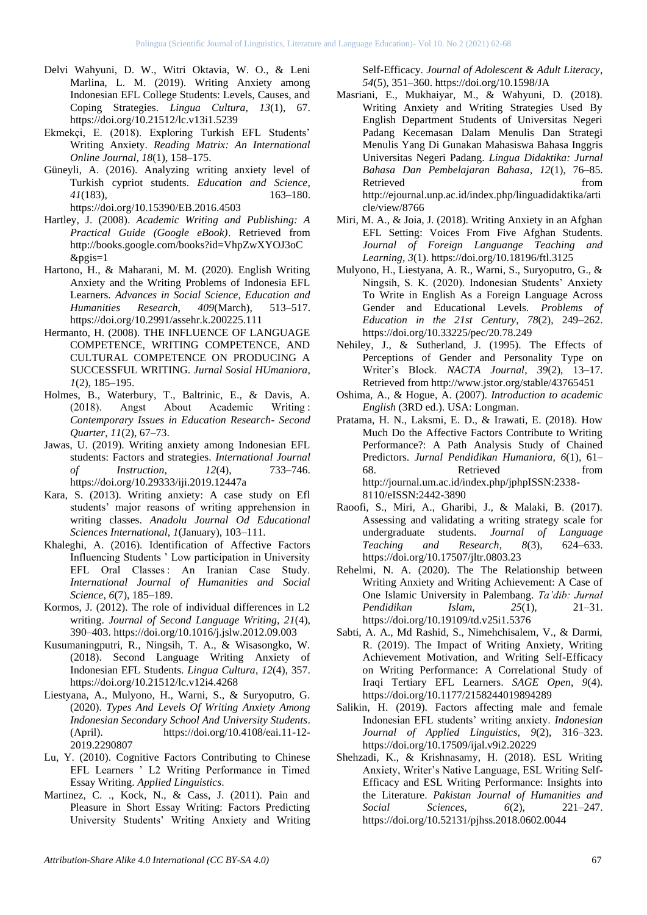- Delvi Wahyuni, D. W., Witri Oktavia, W. O., & Leni Marlina, L. M. (2019). Writing Anxiety among Indonesian EFL College Students: Levels, Causes, and Coping Strategies. *Lingua Cultura*, *13*(1), 67. https://doi.org/10.21512/lc.v13i1.5239
- Ekmekçi, E. (2018). Exploring Turkish EFL Students' Writing Anxiety. *Reading Matrix: An International Online Journal*, *18*(1), 158–175.
- Güneyli, A. (2016). Analyzing writing anxiety level of Turkish cypriot students. *Education and Science*, *41*(183), 163–180. https://doi.org/10.15390/EB.2016.4503
- Hartley, J. (2008). *Academic Writing and Publishing: A Practical Guide (Google eBook)*. Retrieved from http://books.google.com/books?id=VhpZwXYOJ3oC &pgis=1
- Hartono, H., & Maharani, M. M. (2020). English Writing Anxiety and the Writing Problems of Indonesia EFL Learners. *Advances in Social Science, Education and Humanities Research*, *409*(March), 513–517. https://doi.org/10.2991/assehr.k.200225.111
- Hermanto, H. (2008). THE INFLUENCE OF LANGUAGE COMPETENCE, WRITING COMPETENCE, AND CULTURAL COMPETENCE ON PRODUCING A SUCCESSFUL WRITING. *Jurnal Sosial HUmaniora*, *1*(2), 185–195.
- Holmes, B., Waterbury, T., Baltrinic, E., & Davis, A. (2018). Angst About Academic Writing : *Contemporary Issues in Education Research- Second Quarter*, *11*(2), 67–73.
- Jawas, U. (2019). Writing anxiety among Indonesian EFL students: Factors and strategies. *International Journal of Instruction*, *12*(4), 733–746. https://doi.org/10.29333/iji.2019.12447a
- Kara, S. (2013). Writing anxiety: A case study on Efl students' major reasons of writing apprehension in writing classes. *Anadolu Journal Od Educational Sciences International*, *1*(January), 103–111.
- Khaleghi, A. (2016). Identification of Affective Factors Influencing Students ' Low participation in University EFL Oral Classes : An Iranian Case Study. *International Journal of Humanities and Social Science*, *6*(7), 185–189.
- Kormos, J. (2012). The role of individual differences in L2 writing. *Journal of Second Language Writing*, *21*(4), 390–403. https://doi.org/10.1016/j.jslw.2012.09.003
- Kusumaningputri, R., Ningsih, T. A., & Wisasongko, W. (2018). Second Language Writing Anxiety of Indonesian EFL Students. *Lingua Cultura*, *12*(4), 357. https://doi.org/10.21512/lc.v12i4.4268
- Liestyana, A., Mulyono, H., Warni, S., & Suryoputro, G. (2020). *Types And Levels Of Writing Anxiety Among Indonesian Secondary School And University Students*. (April). https://doi.org/10.4108/eai.11-12- 2019.2290807
- Lu, Y. (2010). Cognitive Factors Contributing to Chinese EFL Learners ' L2 Writing Performance in Timed Essay Writing. *Applied Linguistics*.
- Martinez, C. ., Kock, N., & Cass, J. (2011). Pain and Pleasure in Short Essay Writing: Factors Predicting University Students' Writing Anxiety and Writing

Self-Efficacy. *Journal of Adolescent & Adult Literacy*, *54*(5), 351–360. https://doi.org/10.1598/JA

- Masriani, E., Mukhaiyar, M., & Wahyuni, D. (2018). Writing Anxiety and Writing Strategies Used By English Department Students of Universitas Negeri Padang Kecemasan Dalam Menulis Dan Strategi Menulis Yang Di Gunakan Mahasiswa Bahasa Inggris Universitas Negeri Padang. *Lingua Didaktika: Jurnal Bahasa Dan Pembelajaran Bahasa*, *12*(1), 76–85. Retrieved from the settlement of the settlement of the settlement of the settlement of the settlement of the settlement of the settlement of the settlement of the settlement of the settlement of the settlement of the settl http://ejournal.unp.ac.id/index.php/linguadidaktika/arti cle/view/8766
- Miri, M. A., & Joia, J. (2018). Writing Anxiety in an Afghan EFL Setting: Voices From Five Afghan Students. *Journal of Foreign Languange Teaching and Learning*, *3*(1). https://doi.org/10.18196/ftl.3125
- Mulyono, H., Liestyana, A. R., Warni, S., Suryoputro, G., & Ningsih, S. K. (2020). Indonesian Students' Anxiety To Write in English As a Foreign Language Across Gender and Educational Levels. *Problems of Education in the 21st Century*, *78*(2), 249–262. https://doi.org/10.33225/pec/20.78.249
- Nehiley, J., & Sutherland, J. (1995). The Effects of Perceptions of Gender and Personality Type on Writer's Block. *NACTA Journal*, *39*(2), 13–17. Retrieved from http://www.jstor.org/stable/43765451
- Oshima, A., & Hogue, A. (2007). *Introduction to academic English* (3RD ed.). USA: Longman.
- Pratama, H. N., Laksmi, E. D., & Irawati, E. (2018). How Much Do the Affective Factors Contribute to Writing Performance?: A Path Analysis Study of Chained Predictors. *Jurnal Pendidikan Humaniora*, *6*(1), 61– 68. Retrieved from http://journal.um.ac.id/index.php/jphpISSN:2338- 8110/eISSN:2442-3890
- Raoofi, S., Miri, A., Gharibi, J., & Malaki, B. (2017). Assessing and validating a writing strategy scale for undergraduate students. *Journal of Language Teaching and Research*, *8*(3), 624–633. https://doi.org/10.17507/jltr.0803.23
- Rehelmi, N. A. (2020). The The Relationship between Writing Anxiety and Writing Achievement: A Case of One Islamic University in Palembang. *Ta'dib: Jurnal Pendidikan Islam*, *25*(1), 21–31. https://doi.org/10.19109/td.v25i1.5376
- Sabti, A. A., Md Rashid, S., Nimehchisalem, V., & Darmi, R. (2019). The Impact of Writing Anxiety, Writing Achievement Motivation, and Writing Self-Efficacy on Writing Performance: A Correlational Study of Iraqi Tertiary EFL Learners. *SAGE Open*, *9*(4). https://doi.org/10.1177/2158244019894289
- Salikin, H. (2019). Factors affecting male and female Indonesian EFL students' writing anxiety. *Indonesian Journal of Applied Linguistics*, *9*(2), 316–323. https://doi.org/10.17509/ijal.v9i2.20229
- Shehzadi, K., & Krishnasamy, H. (2018). ESL Writing Anxiety, Writer's Native Language, ESL Writing Self-Efficacy and ESL Writing Performance: Insights into the Literature. *Pakistan Journal of Humanities and Social Sciences*, *6*(2), 221–247. https://doi.org/10.52131/pjhss.2018.0602.0044